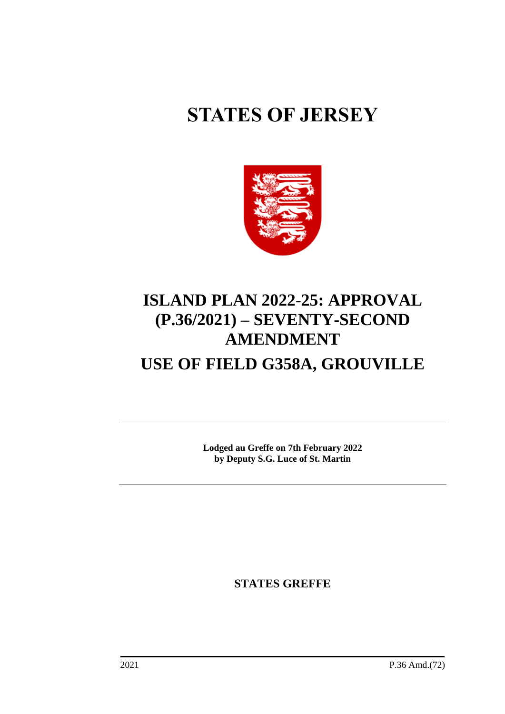# **STATES OF JERSEY**



# **ISLAND PLAN 2022-25: APPROVAL (P.36/2021) – SEVENTY-SECOND AMENDMENT USE OF FIELD G358A, GROUVILLE**

**Lodged au Greffe on 7th February 2022 by Deputy S.G. Luce of St. Martin**

**STATES GREFFE**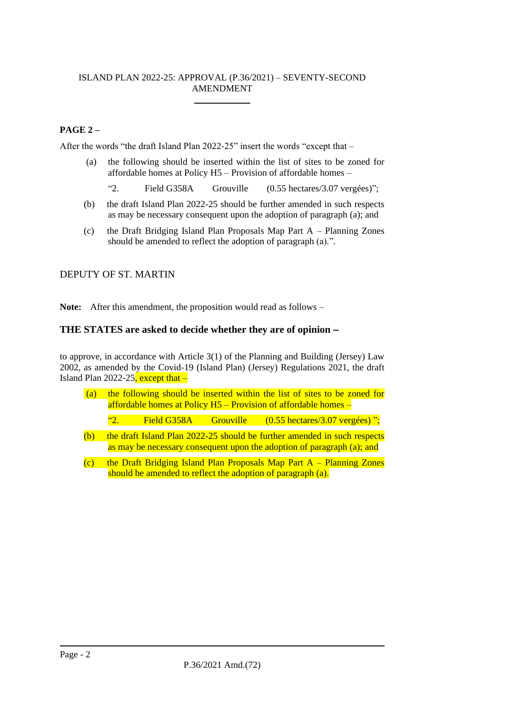#### ISLAND PLAN 2022-25: APPROVAL (P.36/2021) – SEVENTY-SECOND AMENDMENT \_\_\_\_\_\_\_\_\_\_\_\_

# **PAGE 2 –**

After the words "the draft Island Plan 2022-25" insert the words "except that –

- (a) the following should be inserted within the list of sites to be zoned for affordable homes at Policy H5 – Provision of affordable homes –
	- "2. Field G358A Grouville (0.55 hectares/3.07 vergées)";
- (b) the draft Island Plan 2022-25 should be further amended in such respects as may be necessary consequent upon the adoption of paragraph (a); and
- (c) the Draft Bridging Island Plan Proposals Map Part A Planning Zones should be amended to reflect the adoption of paragraph (a).".

# DEPUTY OF ST. MARTIN

**Note:** After this amendment, the proposition would read as follows –

# **THE STATES are asked to decide whether they are of opinion** −

to approve, in accordance with Article 3(1) of the Planning and Building (Jersey) Law 2002, as amended by the Covid-19 (Island Plan) (Jersey) Regulations 2021, the draft Island Plan 2022-25, except that  $-$ 

| (a) | the following should be inserted within the list of sites to be zoned for<br>affordable homes at Policy $H5$ – Provision of affordable homes – |                       |  |                                                                                                                                                    |  |
|-----|------------------------------------------------------------------------------------------------------------------------------------------------|-----------------------|--|----------------------------------------------------------------------------------------------------------------------------------------------------|--|
|     | $\mathfrak{c}$                                                                                                                                 | Field G358A Grouville |  | $(0.55 \text{ hectares}/3.07 \text{ vergées})$ ";                                                                                                  |  |
| (b) |                                                                                                                                                |                       |  | the draft Island Plan 2022-25 should be further amended in such respects<br>as may be necessary consequent upon the adoption of paragraph (a); and |  |

(c) the Draft Bridging Island Plan Proposals Map Part  $A -$  Planning Zones should be amended to reflect the adoption of paragraph (a).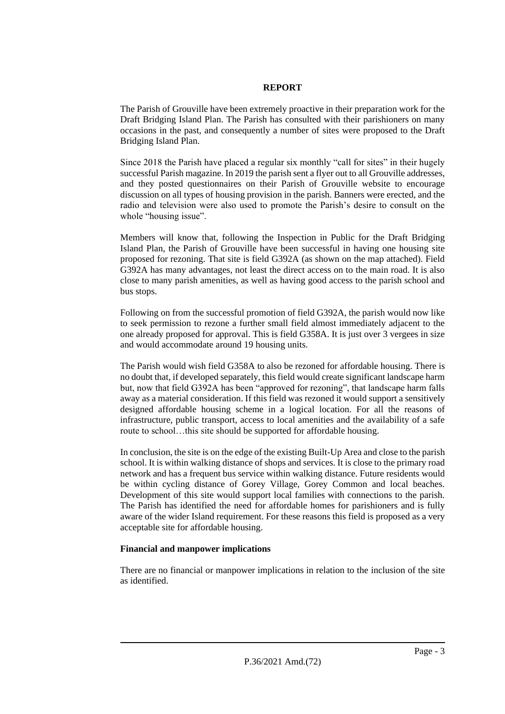#### **REPORT**

The Parish of Grouville have been extremely proactive in their preparation work for the Draft Bridging Island Plan. The Parish has consulted with their parishioners on many occasions in the past, and consequently a number of sites were proposed to the Draft Bridging Island Plan.

Since 2018 the Parish have placed a regular six monthly "call for sites" in their hugely successful Parish magazine. In 2019 the parish sent a flyer out to all Grouville addresses, and they posted questionnaires on their Parish of Grouville website to encourage discussion on all types of housing provision in the parish. Banners were erected, and the radio and television were also used to promote the Parish's desire to consult on the whole "housing issue".

Members will know that, following the Inspection in Public for the Draft Bridging Island Plan, the Parish of Grouville have been successful in having one housing site proposed for rezoning. That site is field G392A (as shown on the map attached). Field G392A has many advantages, not least the direct access on to the main road. It is also close to many parish amenities, as well as having good access to the parish school and bus stops.

Following on from the successful promotion of field G392A, the parish would now like to seek permission to rezone a further small field almost immediately adjacent to the one already proposed for approval. This is field G358A. It is just over 3 vergees in size and would accommodate around 19 housing units.

The Parish would wish field G358A to also be rezoned for affordable housing. There is no doubt that, if developed separately, this field would create significant landscape harm but, now that field G392A has been "approved for rezoning", that landscape harm falls away as a material consideration. If this field was rezoned it would support a sensitively designed affordable housing scheme in a logical location. For all the reasons of infrastructure, public transport, access to local amenities and the availability of a safe route to school...this site should be supported for affordable housing.

In conclusion, the site is on the edge of the existing Built-Up Area and close to the parish school. It is within walking distance of shops and services. It is close to the primary road network and has a frequent bus service within walking distance. Future residents would be within cycling distance of Gorey Village, Gorey Common and local beaches. Development of this site would support local families with connections to the parish. The Parish has identified the need for affordable homes for parishioners and is fully aware of the wider Island requirement. For these reasons this field is proposed as a very acceptable site for affordable housing.

### **Financial and manpower implications**

There are no financial or manpower implications in relation to the inclusion of the site as identified.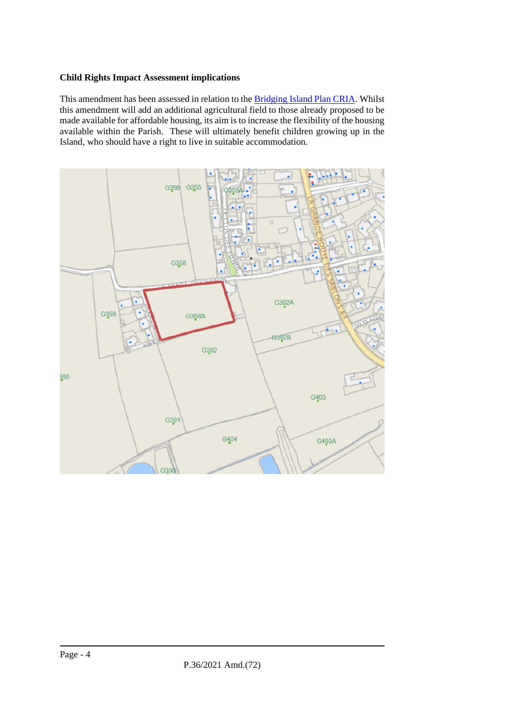#### **Child Rights Impact Assessment implications**

This amendment has been assessed in relation to the [Bridging Island Plan CRIA.](https://www.gov.je/SiteCollectionDocuments/Planning%20and%20building/R%20Children%27s%20Rights%20Impact%20Assessment%20ND.pdf) Whilst this amendment will add an additional agricultural field to those already proposed to be made available for affordable housing, its aim is to increase the flexibility of the housing available within the Parish. These will ultimately benefit children growing up in the Island, who should have a right to live in suitable accommodation.